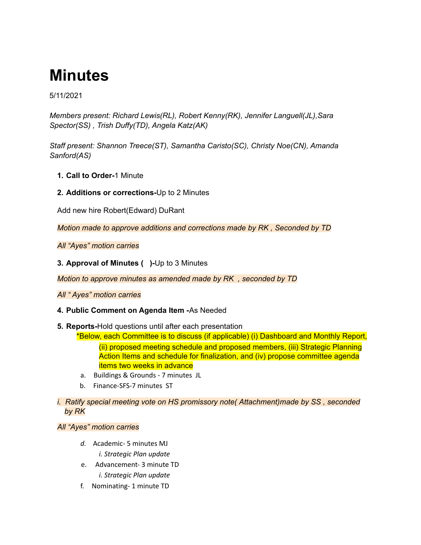# **Minutes**

5/11/2021

*Members present: Richard Lewis(RL), Robert Kenny(RK), Jennifer Languell(JL),Sara Spector(SS) , Trish Duffy(TD), Angela Katz(AK)*

*Staff present: Shannon Treece(ST), Samantha Caristo(SC), Christy Noe(CN), Amanda Sanford(AS)*

- **1. Call to Order-**1 Minute
- **2. Additions or corrections-**Up to 2 Minutes

Add new hire Robert(Edward) DuRant

*Motion made to approve additions and corrections made by RK , Seconded by TD*

*All "Ayes" motion carries*

**3. Approval of Minutes ( )-**Up to 3 Minutes

*Motion to approve minutes as amended made by RK , seconded by TD*

*All " Ayes" motion carries*

## **4. Public Comment on Agenda Item -**As Needed

**5. Reports-**Hold questions until after each presentation

\*Below, each Committee is to discuss (if applicable) (i) Dashboard and Monthly Report, (ii) proposed meeting schedule and proposed members, (iii) Strategic Planning Action Items and schedule for finalization, and (iv) propose committee agenda items two weeks in advance

- a. Buildings & Grounds 7 minutes JL
- b. Finance-SFS-7 minutes ST
- *i. Ratify special meeting vote on HS promissory note( Attachment)made by SS , seconded by RK*

## *All "Ayes" motion carries*

- *d.* Academic- 5 minutes MJ *i. Strategic Plan update*
- e. Advancement- 3 minute TD *i. Strategic Plan update*
- f. Nominating- 1 minute TD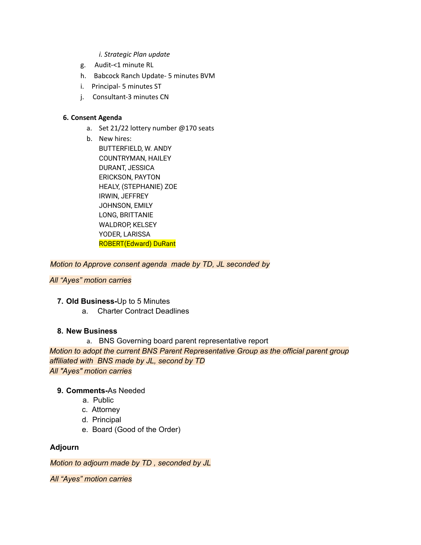#### *i. Strategic Plan update*

- g. Audit-<1 minute RL
- h. Babcock Ranch Update- 5 minutes BVM
- i. Principal- 5 minutes ST
- j. Consultant-3 minutes CN

### **6. Consent Agenda**

- a. Set 21/22 lottery number @170 seats
- b. New hires: BUTTERFIELD, W. ANDY COUNTRYMAN, HAILEY DURANT, JESSICA ERICKSON, PAYTON HEALY, (STEPHANIE) ZOE IRWIN, JEFFREY JOHNSON, EMILY LONG, BRITTANIE WALDROP, KELSEY YODER, LARISSA ROBERT(Edward) DuRant

*Motion to Approve consent agenda made by TD, JL seconded by*

## *All "Ayes" motion carries*

- **7. Old Business-**Up to 5 Minutes
	- a. Charter Contract Deadlines

## **8. New Business**

a. BNS Governing board parent representative report *Motion to adopt the current BNS Parent Representative Group as the official parent group affiliated with BNS made by JL, second by TD All "Ayes" motion carries*

## **9. Comments-**As Needed

- a. Public
- c. Attorney
- d. Principal
- e. Board (Good of the Order)

## **Adjourn**

*Motion to adjourn made by TD , seconded by JL*

*All "Ayes" motion carries*